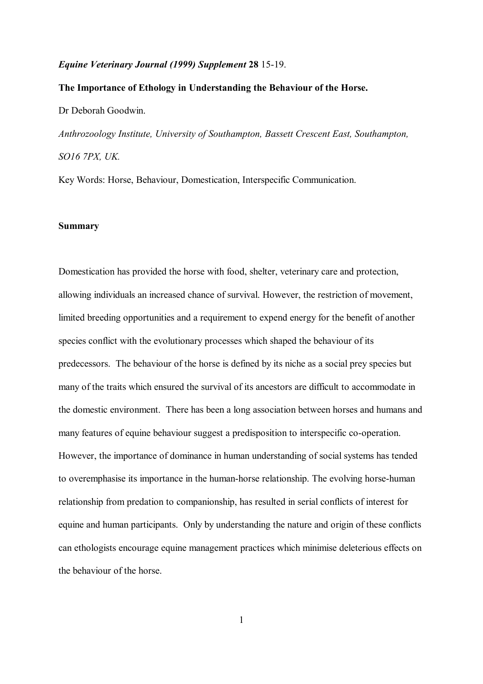#### *Equine Veterinary Journal (1999) Supplement* **28** 15-19.

## **The Importance of Ethology in Understanding the Behaviour of the Horse.**

Dr Deborah Goodwin.

*Anthrozoology Institute, University of Southampton, Bassett Crescent East, Southampton, SO16 7PX, UK.*

Key Words: Horse, Behaviour, Domestication, Interspecific Communication.

# **Summary**

Domestication has provided the horse with food, shelter, veterinary care and protection, allowing individuals an increased chance of survival. However, the restriction of movement, limited breeding opportunities and a requirement to expend energy for the benefit of another species conflict with the evolutionary processes which shaped the behaviour of its predecessors. The behaviour of the horse is defined by its niche as a social prey species but many of the traits which ensured the survival of its ancestors are difficult to accommodate in the domestic environment. There has been a long association between horses and humans and many features of equine behaviour suggest a predisposition to interspecific co-operation. However, the importance of dominance in human understanding of social systems has tended to overemphasise its importance in the human-horse relationship. The evolving horse-human relationship from predation to companionship, has resulted in serial conflicts of interest for equine and human participants. Only by understanding the nature and origin of these conflicts can ethologists encourage equine management practices which minimise deleterious effects on the behaviour of the horse.

1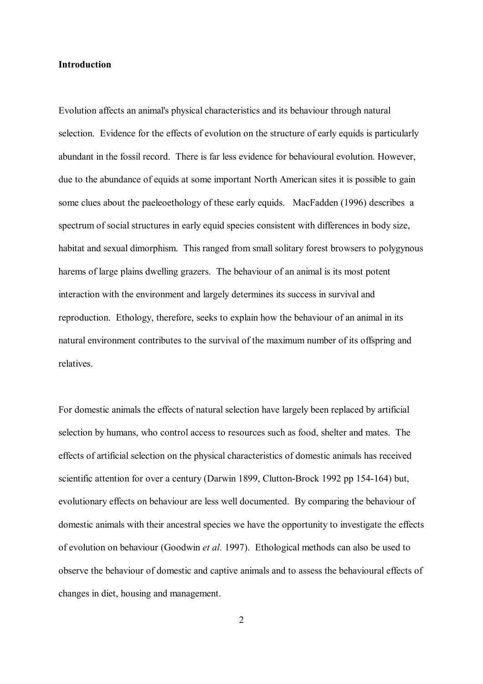# **Introduction**

Evolution affects an animal's physical characteristics and its behaviour through natural selection. Evidence for the effects of evolution on the structure of early equids is particularly abundant in the fossil record. There is far less evidence for behavioural evolution. However, due to the abundance of equids at some important North American sites it is possible to gain some clues about the paeleoethology of these early equids. MacFadden (1996) describes a spectrum of social structures in early equid species consistent with differences in body size, habitat and sexual dimorphism. This ranged from small solitary forest browsers to polygynous harems of large plains dwelling grazers. The behaviour of an animal is its most potent interaction with the environment and largely determines its success in survival and reproduction. Ethology, therefore, seeks to explain how the behaviour of an animal in its natural environment contributes to the survival of the maximum number of its offspring and relatives.

For domestic animals the effects of natural selection have largely been replaced by artificial selection by humans, who control access to resources such as food, shelter and mates. The effects of artificial selection on the physical characteristics of domestic animals has received scientific attention for over a century (Darwin 1899, Clutton-Brock 1992 pp 154-164) but, evolutionary effects on behaviour are less well documented. By comparing the behaviour of domestic animals with their ancestral species we have the opportunity to investigate the effects of evolution on behaviour (Goodwin *et al.* 1997). Ethological methods can also be used to observe the behaviour of domestic and captive animals and to assess the behavioural effects of changes in diet, housing and management.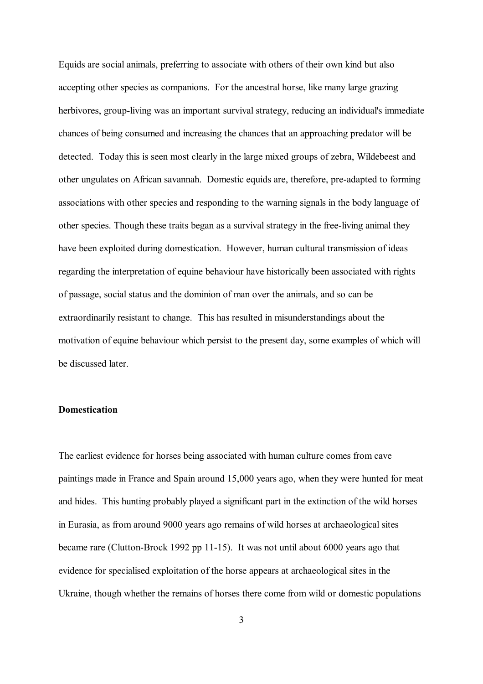Equids are social animals, preferring to associate with others of their own kind but also accepting other species as companions. For the ancestral horse, like many large grazing herbivores, group-living was an important survival strategy, reducing an individual's immediate chances of being consumed and increasing the chances that an approaching predator will be detected. Today this is seen most clearly in the large mixed groups of zebra, Wildebeest and other ungulates on African savannah. Domestic equids are, therefore, pre-adapted to forming associations with other species and responding to the warning signals in the body language of other species. Though these traits began as a survival strategy in the free-living animal they have been exploited during domestication. However, human cultural transmission of ideas regarding the interpretation of equine behaviour have historically been associated with rights of passage, social status and the dominion of man over the animals, and so can be extraordinarily resistant to change. This has resulted in misunderstandings about the motivation of equine behaviour which persist to the present day, some examples of which will be discussed later.

# **Domestication**

The earliest evidence for horses being associated with human culture comes from cave paintings made in France and Spain around 15,000 years ago, when they were hunted for meat and hides. This hunting probably played a significant part in the extinction of the wild horses in Eurasia, as from around 9000 years ago remains of wild horses at archaeological sites became rare (Clutton-Brock 1992 pp 11-15). It was not until about 6000 years ago that evidence for specialised exploitation of the horse appears at archaeological sites in the Ukraine, though whether the remains of horses there come from wild or domestic populations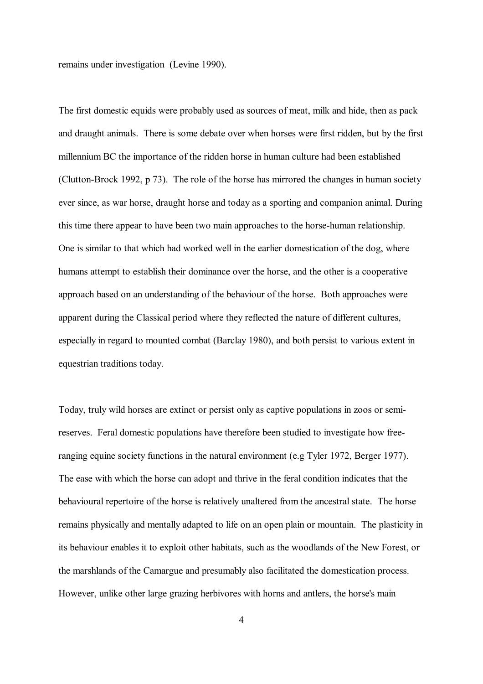remains under investigation (Levine 1990).

The first domestic equids were probably used as sources of meat, milk and hide, then as pack and draught animals. There is some debate over when horses were first ridden, but by the first millennium BC the importance of the ridden horse in human culture had been established (Clutton-Brock 1992, p 73). The role of the horse has mirrored the changes in human society ever since, as war horse, draught horse and today as a sporting and companion animal. During this time there appear to have been two main approaches to the horse-human relationship. One is similar to that which had worked well in the earlier domestication of the dog, where humans attempt to establish their dominance over the horse, and the other is a cooperative approach based on an understanding of the behaviour of the horse. Both approaches were apparent during the Classical period where they reflected the nature of different cultures, especially in regard to mounted combat (Barclay 1980), and both persist to various extent in equestrian traditions today.

Today, truly wild horses are extinct or persist only as captive populations in zoos or semireserves. Feral domestic populations have therefore been studied to investigate how freeranging equine society functions in the natural environment (e.g Tyler 1972, Berger 1977). The ease with which the horse can adopt and thrive in the feral condition indicates that the behavioural repertoire of the horse is relatively unaltered from the ancestral state. The horse remains physically and mentally adapted to life on an open plain or mountain. The plasticity in its behaviour enables it to exploit other habitats, such as the woodlands of the New Forest, or the marshlands of the Camargue and presumably also facilitated the domestication process. However, unlike other large grazing herbivores with horns and antlers, the horse's main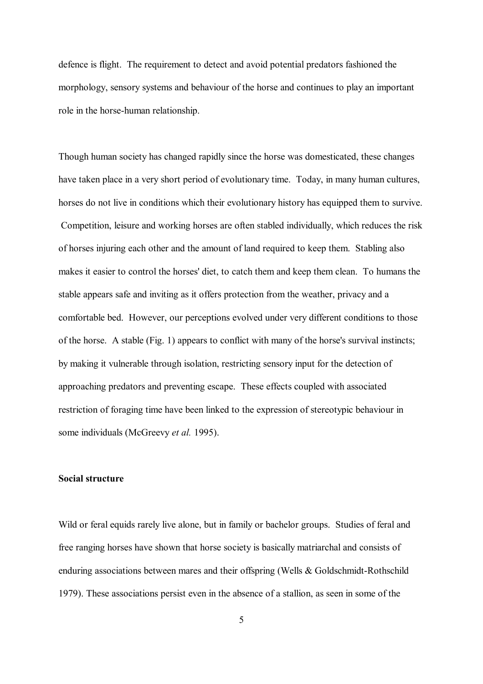defence is flight. The requirement to detect and avoid potential predators fashioned the morphology, sensory systems and behaviour of the horse and continues to play an important role in the horse-human relationship.

Though human society has changed rapidly since the horse was domesticated, these changes have taken place in a very short period of evolutionary time. Today, in many human cultures, horses do not live in conditions which their evolutionary history has equipped them to survive. Competition, leisure and working horses are often stabled individually, which reduces the risk of horses injuring each other and the amount of land required to keep them. Stabling also makes it easier to control the horses' diet, to catch them and keep them clean. To humans the stable appears safe and inviting as it offers protection from the weather, privacy and a comfortable bed. However, our perceptions evolved under very different conditions to those of the horse. A stable (Fig. 1) appears to conflict with many of the horse's survival instincts; by making it vulnerable through isolation, restricting sensory input for the detection of approaching predators and preventing escape. These effects coupled with associated restriction of foraging time have been linked to the expression of stereotypic behaviour in some individuals (McGreevy *et al.* 1995).

## **Social structure**

Wild or feral equids rarely live alone, but in family or bachelor groups. Studies of feral and free ranging horses have shown that horse society is basically matriarchal and consists of enduring associations between mares and their offspring (Wells & Goldschmidt-Rothschild 1979). These associations persist even in the absence of a stallion, as seen in some of the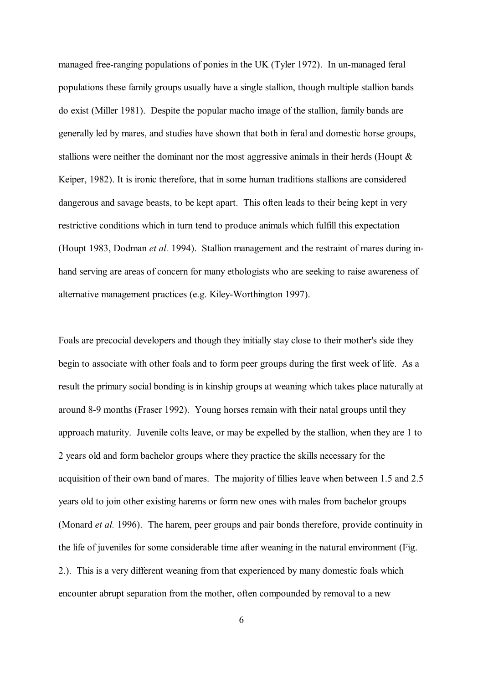managed free-ranging populations of ponies in the UK (Tyler 1972). In un-managed feral populations these family groups usually have a single stallion, though multiple stallion bands do exist (Miller 1981). Despite the popular macho image of the stallion, family bands are generally led by mares, and studies have shown that both in feral and domestic horse groups, stallions were neither the dominant nor the most aggressive animals in their herds (Houpt & Keiper, 1982). It is ironic therefore, that in some human traditions stallions are considered dangerous and savage beasts, to be kept apart. This often leads to their being kept in very restrictive conditions which in turn tend to produce animals which fulfill this expectation (Houpt 1983, Dodman *et al.* 1994). Stallion management and the restraint of mares during inhand serving are areas of concern for many ethologists who are seeking to raise awareness of alternative management practices (e.g. Kiley-Worthington 1997).

Foals are precocial developers and though they initially stay close to their mother's side they begin to associate with other foals and to form peer groups during the first week of life. As a result the primary social bonding is in kinship groups at weaning which takes place naturally at around 8-9 months (Fraser 1992). Young horses remain with their natal groups until they approach maturity. Juvenile colts leave, or may be expelled by the stallion, when they are 1 to 2 years old and form bachelor groups where they practice the skills necessary for the acquisition of their own band of mares. The majority of fillies leave when between 1.5 and 2.5 years old to join other existing harems or form new ones with males from bachelor groups (Monard *et al.* 1996). The harem, peer groups and pair bonds therefore, provide continuity in the life of juveniles for some considerable time after weaning in the natural environment (Fig. 2.). This is a very different weaning from that experienced by many domestic foals which encounter abrupt separation from the mother, often compounded by removal to a new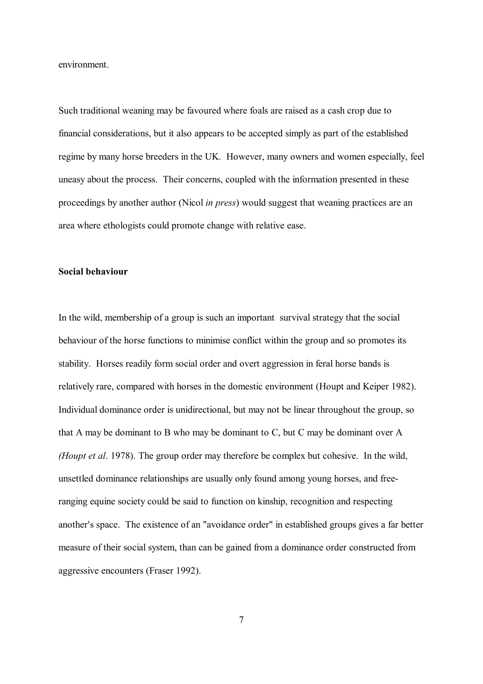environment.

Such traditional weaning may be favoured where foals are raised as a cash crop due to financial considerations, but it also appears to be accepted simply as part of the established regime by many horse breeders in the UK. However, many owners and women especially, feel uneasy about the process. Their concerns, coupled with the information presented in these proceedings by another author (Nicol *in press*) would suggest that weaning practices are an area where ethologists could promote change with relative ease.

#### **Social behaviour**

In the wild, membership of a group is such an important survival strategy that the social behaviour of the horse functions to minimise conflict within the group and so promotes its stability. Horses readily form social order and overt aggression in feral horse bands is relatively rare, compared with horses in the domestic environment (Houpt and Keiper 1982). Individual dominance order is unidirectional, but may not be linear throughout the group, so that A may be dominant to B who may be dominant to C, but C may be dominant over A *(Houpt et al*. 1978). The group order may therefore be complex but cohesive. In the wild, unsettled dominance relationships are usually only found among young horses, and freeranging equine society could be said to function on kinship, recognition and respecting another's space. The existence of an "avoidance order" in established groups gives a far better measure of their social system, than can be gained from a dominance order constructed from aggressive encounters (Fraser 1992).

7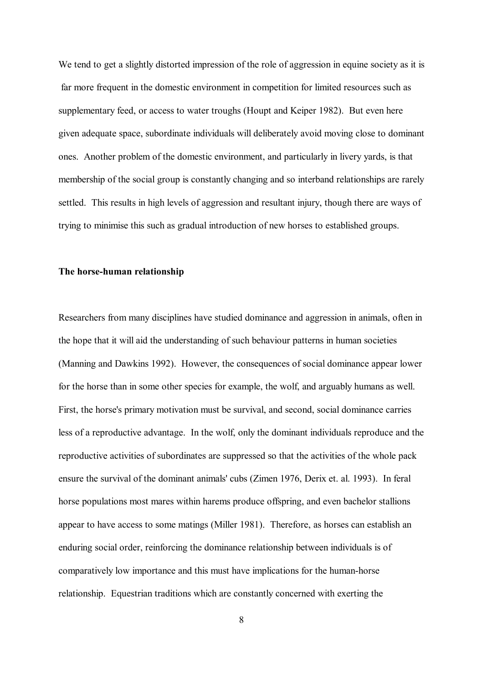We tend to get a slightly distorted impression of the role of aggression in equine society as it is far more frequent in the domestic environment in competition for limited resources such as supplementary feed, or access to water troughs (Houpt and Keiper 1982). But even here given adequate space, subordinate individuals will deliberately avoid moving close to dominant ones. Another problem of the domestic environment, and particularly in livery yards, is that membership of the social group is constantly changing and so interband relationships are rarely settled. This results in high levels of aggression and resultant injury, though there are ways of trying to minimise this such as gradual introduction of new horses to established groups.

## **The horse-human relationship**

Researchers from many disciplines have studied dominance and aggression in animals, often in the hope that it will aid the understanding of such behaviour patterns in human societies (Manning and Dawkins 1992). However, the consequences of social dominance appear lower for the horse than in some other species for example, the wolf, and arguably humans as well. First, the horse's primary motivation must be survival, and second, social dominance carries less of a reproductive advantage. In the wolf, only the dominant individuals reproduce and the reproductive activities of subordinates are suppressed so that the activities of the whole pack ensure the survival of the dominant animals' cubs (Zimen 1976, Derix et. al. 1993). In feral horse populations most mares within harems produce offspring, and even bachelor stallions appear to have access to some matings (Miller 1981). Therefore, as horses can establish an enduring social order, reinforcing the dominance relationship between individuals is of comparatively low importance and this must have implications for the human-horse relationship. Equestrian traditions which are constantly concerned with exerting the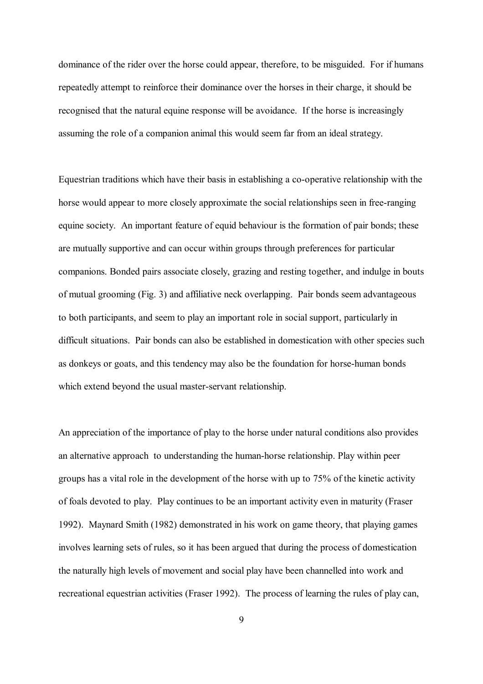dominance of the rider over the horse could appear, therefore, to be misguided. For if humans repeatedly attempt to reinforce their dominance over the horses in their charge, it should be recognised that the natural equine response will be avoidance. If the horse is increasingly assuming the role of a companion animal this would seem far from an ideal strategy.

Equestrian traditions which have their basis in establishing a co-operative relationship with the horse would appear to more closely approximate the social relationships seen in free-ranging equine society. An important feature of equid behaviour is the formation of pair bonds; these are mutually supportive and can occur within groups through preferences for particular companions. Bonded pairs associate closely, grazing and resting together, and indulge in bouts of mutual grooming (Fig. 3) and affiliative neck overlapping. Pair bonds seem advantageous to both participants, and seem to play an important role in social support, particularly in difficult situations. Pair bonds can also be established in domestication with other species such as donkeys or goats, and this tendency may also be the foundation for horse-human bonds which extend beyond the usual master-servant relationship.

An appreciation of the importance of play to the horse under natural conditions also provides an alternative approach to understanding the human-horse relationship. Play within peer groups has a vital role in the development of the horse with up to 75% of the kinetic activity of foals devoted to play. Play continues to be an important activity even in maturity (Fraser 1992). Maynard Smith (1982) demonstrated in his work on game theory, that playing games involves learning sets of rules, so it has been argued that during the process of domestication the naturally high levels of movement and social play have been channelled into work and recreational equestrian activities (Fraser 1992). The process of learning the rules of play can,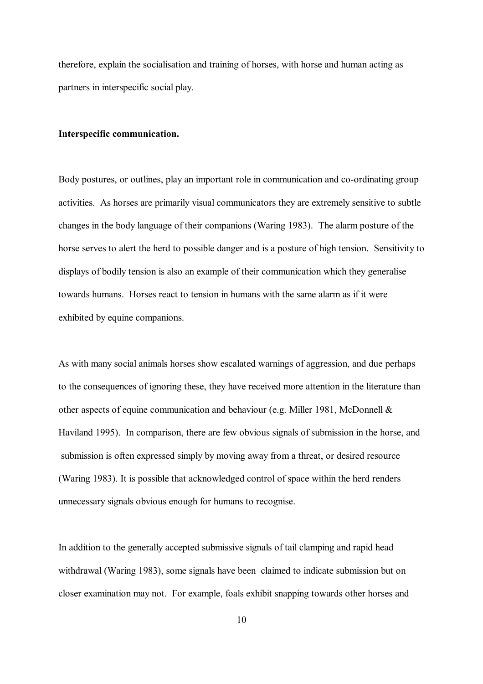therefore, explain the socialisation and training of horses, with horse and human acting as partners in interspecific social play.

## **Interspecific communication.**

Body postures, or outlines, play an important role in communication and co-ordinating group activities. As horses are primarily visual communicators they are extremely sensitive to subtle changes in the body language of their companions (Waring 1983). The alarm posture of the horse serves to alert the herd to possible danger and is a posture of high tension. Sensitivity to displays of bodily tension is also an example of their communication which they generalise towards humans. Horses react to tension in humans with the same alarm as if it were exhibited by equine companions.

As with many social animals horses show escalated warnings of aggression, and due perhaps to the consequences of ignoring these, they have received more attention in the literature than other aspects of equine communication and behaviour (e.g. Miller 1981, McDonnell & Haviland 1995). In comparison, there are few obvious signals of submission in the horse, and submission is often expressed simply by moving away from a threat, or desired resource (Waring 1983). It is possible that acknowledged control of space within the herd renders unnecessary signals obvious enough for humans to recognise.

In addition to the generally accepted submissive signals of tail clamping and rapid head withdrawal (Waring 1983), some signals have been claimed to indicate submission but on closer examination may not. For example, foals exhibit snapping towards other horses and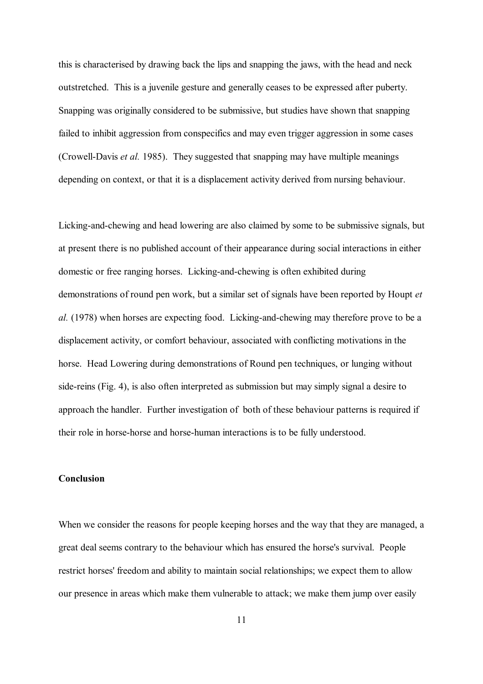this is characterised by drawing back the lips and snapping the jaws, with the head and neck outstretched. This is a juvenile gesture and generally ceases to be expressed after puberty. Snapping was originally considered to be submissive, but studies have shown that snapping failed to inhibit aggression from conspecifics and may even trigger aggression in some cases (Crowell-Davis *et al.* 1985). They suggested that snapping may have multiple meanings depending on context, or that it is a displacement activity derived from nursing behaviour.

Licking-and-chewing and head lowering are also claimed by some to be submissive signals, but at present there is no published account of their appearance during social interactions in either domestic or free ranging horses. Licking-and-chewing is often exhibited during demonstrations of round pen work, but a similar set of signals have been reported by Houpt *et al.* (1978) when horses are expecting food. Licking-and-chewing may therefore prove to be a displacement activity, or comfort behaviour, associated with conflicting motivations in the horse. Head Lowering during demonstrations of Round pen techniques, or lunging without side-reins (Fig. 4), is also often interpreted as submission but may simply signal a desire to approach the handler. Further investigation of both of these behaviour patterns is required if their role in horse-horse and horse-human interactions is to be fully understood.

# **Conclusion**

When we consider the reasons for people keeping horses and the way that they are managed, a great deal seems contrary to the behaviour which has ensured the horse's survival. People restrict horses' freedom and ability to maintain social relationships; we expect them to allow our presence in areas which make them vulnerable to attack; we make them jump over easily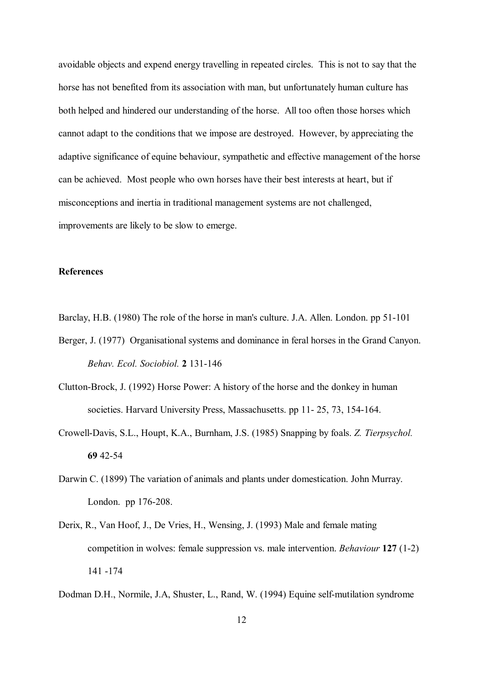avoidable objects and expend energy travelling in repeated circles. This is not to say that the horse has not benefited from its association with man, but unfortunately human culture has both helped and hindered our understanding of the horse. All too often those horses which cannot adapt to the conditions that we impose are destroyed. However, by appreciating the adaptive significance of equine behaviour, sympathetic and effective management of the horse can be achieved. Most people who own horses have their best interests at heart, but if misconceptions and inertia in traditional management systems are not challenged, improvements are likely to be slow to emerge.

# **References**

Barclay, H.B. (1980) The role of the horse in man's culture. J.A. Allen. London. pp 51-101

- Berger, J. (1977) Organisational systems and dominance in feral horses in the Grand Canyon.  *Behav. Ecol. Sociobiol.* **2** 131-146
- Clutton-Brock, J. (1992) Horse Power: A history of the horse and the donkey in human societies. Harvard University Press, Massachusetts. pp 11- 25, 73, 154-164.
- Crowell-Davis, S.L., Houpt, K.A., Burnham, J.S. (1985) Snapping by foals. *Z. Tierpsychol.*   **69** 42-54
- Darwin C. (1899) The variation of animals and plants under domestication. John Murray. London. pp 176-208.
- Derix, R., Van Hoof, J., De Vries, H., Wensing, J. (1993) Male and female mating competition in wolves: female suppression vs. male intervention. *Behaviour* **127** (1-2) 141 -174
- Dodman D.H., Normile, J.A, Shuster, L., Rand, W. (1994) Equine self-mutilation syndrome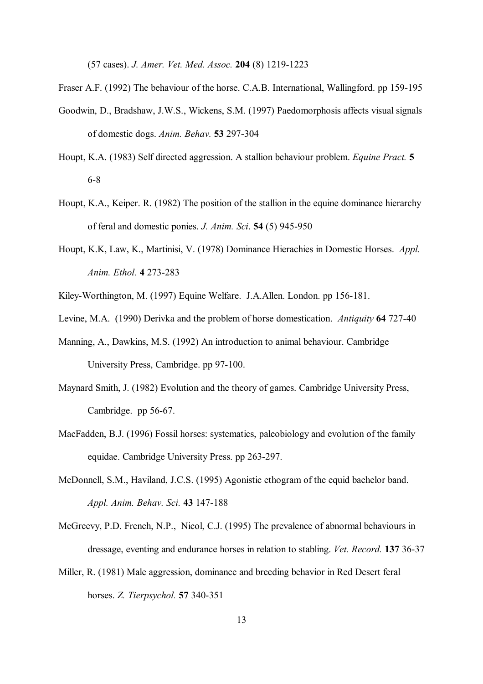(57 cases). *J. Amer. Vet. Med. Assoc.* **204** (8) 1219-1223

Fraser A.F. (1992) The behaviour of the horse. C.A.B. International, Wallingford. pp 159-195

- Goodwin, D., Bradshaw, J.W.S., Wickens, S.M. (1997) Paedomorphosis affects visual signals of domestic dogs. *Anim. Behav.* **53** 297-304
- Houpt, K.A. (1983) Self directed aggression. A stallion behaviour problem. *Equine Pract.* **5** 6-8
- Houpt, K.A., Keiper. R. (1982) The position of the stallion in the equine dominance hierarchy of feral and domestic ponies. *J. Anim. Sci*. **54** (5) 945-950
- Houpt, K.K, Law, K., Martinisi, V. (1978) Dominance Hierachies in Domestic Horses. *Appl. Anim. Ethol.* **4** 273-283
- Kiley-Worthington, M. (1997) Equine Welfare. J.A.Allen. London. pp 156-181.
- Levine, M.A. (1990) Derivka and the problem of horse domestication. *Antiquity* **64** 727-40
- Manning, A., Dawkins, M.S. (1992) An introduction to animal behaviour. Cambridge University Press, Cambridge. pp 97-100.
- Maynard Smith, J. (1982) Evolution and the theory of games. Cambridge University Press, Cambridge. pp 56-67.
- MacFadden, B.J. (1996) Fossil horses: systematics, paleobiology and evolution of the family equidae. Cambridge University Press. pp 263-297.
- McDonnell, S.M., Haviland, J.C.S. (1995) Agonistic ethogram of the equid bachelor band.  *Appl. Anim. Behav. Sci.* **43** 147-188
- McGreevy, P.D. French, N.P., Nicol, C.J. (1995) The prevalence of abnormal behaviours in dressage, eventing and endurance horses in relation to stabling. *Vet. Record.* **137** 36-37
- Miller, R. (1981) Male aggression, dominance and breeding behavior in Red Desert feral horses. *Z. Tierpsychol.* **57** 340-351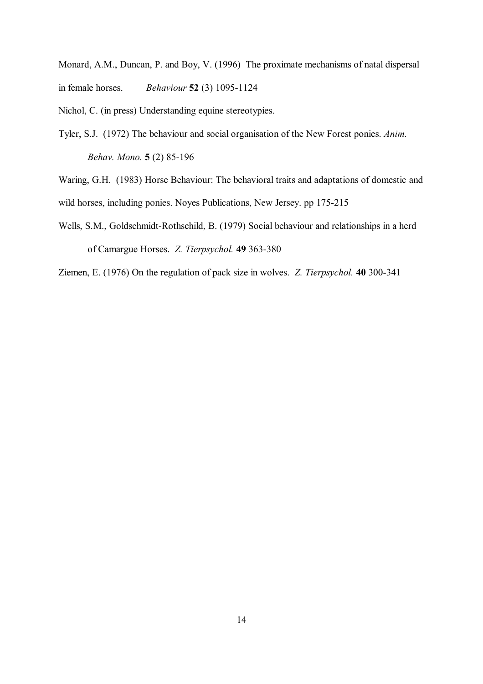Monard, A.M., Duncan, P. and Boy, V. (1996) The proximate mechanisms of natal dispersal in female horses. *Behaviour* **52** (3) 1095-1124

Nichol, C. (in press) Understanding equine stereotypies.

Tyler, S.J. (1972) The behaviour and social organisation of the New Forest ponies. *Anim. Behav. Mono.* **5** (2) 85-196

Waring, G.H. (1983) Horse Behaviour: The behavioral traits and adaptations of domestic and wild horses, including ponies. Noyes Publications, New Jersey. pp 175-215

Wells, S.M., Goldschmidt-Rothschild, B. (1979) Social behaviour and relationships in a herd of Camargue Horses. *Z. Tierpsychol.* **49** 363-380

Ziemen, E. (1976) On the regulation of pack size in wolves. *Z. Tierpsychol.* **40** 300-341